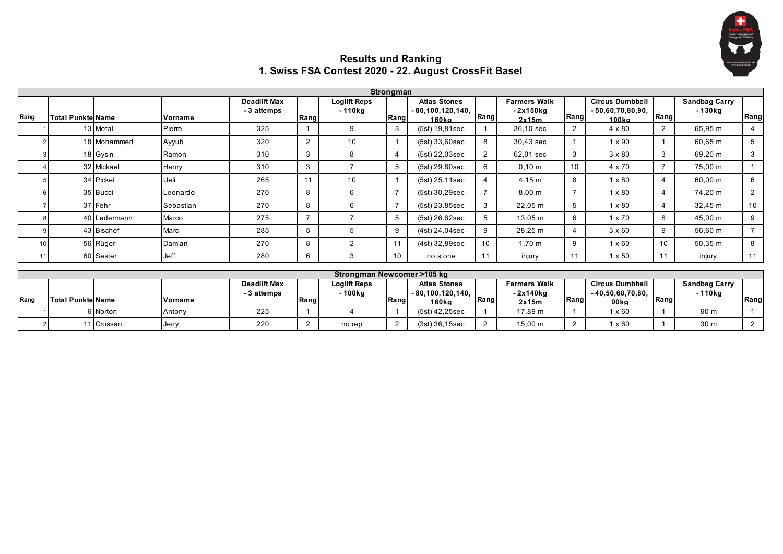

## **Results und Ranking 1. Swiss FSA Contest 2020 - 22. August CrossFit Basel**

|      |                           |              |           |                                    |                |                                | Strongman      |                                                    |                |                                           |                |                                                       |      |                                 |                |
|------|---------------------------|--------------|-----------|------------------------------------|----------------|--------------------------------|----------------|----------------------------------------------------|----------------|-------------------------------------------|----------------|-------------------------------------------------------|------|---------------------------------|----------------|
| Rang | <b>Total Punktel Name</b> |              | Vorname   | <b>Deadlift Max</b><br>- 3 attemps | Rang           | <b>Loglift Reps</b><br>- 110kg | Rang           | <b>Atlas Stones</b><br>$-80,100,120,140,$<br>160ka | Rang           | <b>Farmers Walk</b><br>- 2x150kg<br>2x15m | Rang           | <b>Circus Dumbbell</b><br>$-50,60,70,80,90,$<br>100ka | Rang | <b>Sandbag Carry</b><br>- 130kg | Rang           |
|      |                           | 13 Motal     | Pierre    | 325                                |                | 9                              | 3              | (5st) 19,81sec                                     |                | 36,10 sec                                 | $\overline{2}$ | 4 x 80                                                |      | 65,95 m                         | 4              |
|      |                           | 18 Mohammed  | Ayyub     | 320                                | 2              | 10                             |                | $(5st)$ 33,60sec                                   | 8              | 30.43 sec                                 |                | $1 \times 90$                                         |      | 60,65 m                         | 5              |
|      |                           | 18 Gysin     | Ramon     | 310                                | 3              |                                |                | (5st) 22,03sec                                     | $\overline{2}$ | 62,01 sec                                 | 3              | $3 \times 80$                                         | 3    | 69,20 m                         | 3              |
|      |                           | 32 Mickael   | Henry     | 310                                | 3              |                                | 5              | (5st) 29.80sec                                     |                | $0,10 \; \text{m}$                        | 10             | $4 \times 70$                                         |      | 75,00 m                         |                |
|      |                           | 34 Pickel    | Ueli      | 265                                |                | 10                             |                | $(5st)$ 25.11sec                                   |                | 4.15 m                                    | 8              | $1 \times 80$                                         | 4    | 60,00 m                         | 6              |
|      |                           | 35 Bucci     | Leonardo  | 270                                | 8              | 6                              |                | (5st) 30,29sec                                     |                | $8,00 \; m$                               |                | $1 \times 80$                                         | 4    | 74,20 m                         | $\overline{2}$ |
|      |                           | 37 Fehr      | Sebastian | 270                                | 8              | h                              | $\overline{ }$ | (5st) 23.85sec                                     | 3              | 22,05 m                                   | 5              | $1 \times 80$                                         | 4    | 32,45 m                         | 10             |
|      |                           | 40 Ledermann | Marco     | 275                                | $\overline{ }$ |                                | 5              | (5st) 26.62sec                                     |                | 13.05 m                                   | 6              | $1 \times 70$                                         | 8    | 45,00 m                         | 9              |
|      |                           | 43 Bischof   | Marc      | 285                                | 5              |                                | 9              | $(4st)$ 24.04sec                                   | 9              | 28,25 m                                   | 4              | $3 \times 60$                                         | 9    | 56,60 m                         | $\overline{ }$ |
| 10   |                           | 56 Rüger     | Damian    | 270                                | 8              | $\overline{2}$                 | 11             | (4st) 32,89sec                                     | 10             | $1.70 \; \text{m}$                        | 9              | $1 \times 60$                                         | 10   | 50,35 m                         | 8              |
| 11   |                           | 60 Sester    | Jeff      | 280                                | 6              | 3                              | 10             | no stone                                           | 11             | injury                                    |                | $1 \times 50$                                         |      | injury                          | 11             |

|      | Strongman Newcomer >105 kg |            |         |                                  |      |                        |      |                                           |      |                                  |      |                                              |      |                                 |      |
|------|----------------------------|------------|---------|----------------------------------|------|------------------------|------|-------------------------------------------|------|----------------------------------|------|----------------------------------------------|------|---------------------------------|------|
|      |                            |            |         | <b>Deadlift Max</b><br>3 attemps |      | Loglift Reps<br>∙100kg |      | <b>Atlas Stones</b><br>$-80,100,120,140,$ |      | <b>Farmers Walk</b><br>- 2x140kg |      | <b>Circus Dumbbell</b><br>$-40,50,60,70,80,$ |      | <b>Sandbag Carry</b><br>- 110ka |      |
| Rang | <b>Total Punktel Name</b>  |            | Vorname |                                  | Rang |                        | Rang | 160ka                                     | Rang | 2x15m                            | Rang | $90k$ a                                      | Rang |                                 | Rang |
|      |                            | 6 Norton   | Antony  | 225                              |      |                        |      | (5st) 42,25sec                            |      | 17.89 m                          |      | x 60                                         |      | 60 m                            |      |
|      |                            | 11 Crossan | Jerry   | 220                              |      | no rep                 |      | (3st) 36,15sec                            |      | $15,00 \; \text{m}$              |      | x 60                                         |      | 30 m                            |      |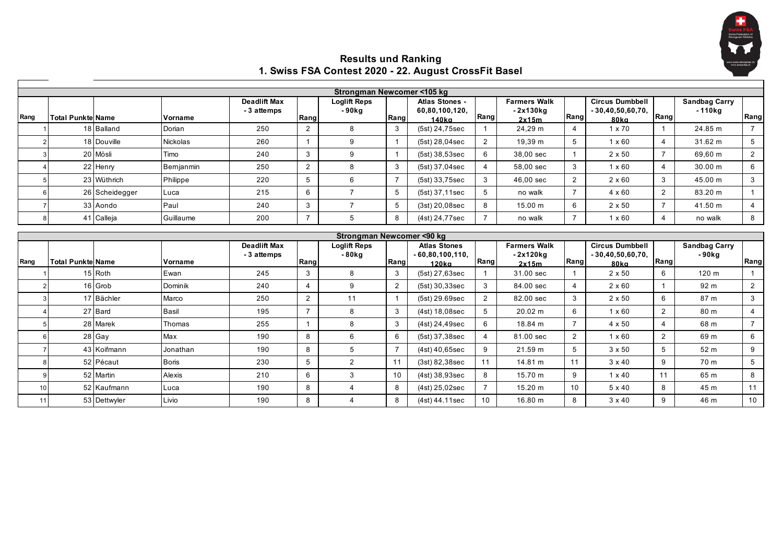

## **Results und Ranking 1. Swiss FSA Contest 2020 - 22. August CrossFit Basel**

|             |                           |                |                 |                                    |                       | Strongman Newcomer <105 kg               |                |                                           |                 |                                            |                |                                                      |                |                                  |                 |
|-------------|---------------------------|----------------|-----------------|------------------------------------|-----------------------|------------------------------------------|----------------|-------------------------------------------|-----------------|--------------------------------------------|----------------|------------------------------------------------------|----------------|----------------------------------|-----------------|
| Rang        | <b>Total Punktel Name</b> |                | Vorname         | <b>Deadlift Max</b><br>- 3 attemps | Rang                  | <b>Loglift Reps</b><br>-90 <sub>kg</sub> | Rang           | Atlas Stones -<br>60,80,100,120,<br>140ka | Rang            | <b>Farmers Walk</b><br>$-2x130kq$<br>2x15m | Rang           | <b>Circus Dumbbell</b><br>$-30,40,50,60,70,$<br>80ka | Rang           | <b>Sandbag Carry</b><br>$-110kg$ | Rang            |
|             |                           | 18 Balland     | Dorian          | 250                                | 2                     | 8                                        | 3              | (5st) 24,75sec                            |                 | 24,29 m                                    | 4              | $1 \times 70$                                        |                | 24.85 m                          | $\overline{7}$  |
|             |                           | 18 Douville    | <b>Nickolas</b> | 260                                |                       | 9                                        |                | (5st) 28,04sec                            | $\overline{2}$  | 19,39 m                                    | 5              | $1 \times 60$                                        | $\overline{4}$ | 31.62 m                          | 5               |
|             |                           | 20 Mösli       | Timo            | 240                                | $\mathbf{3}$          | 9                                        | $\mathbf{1}$   | (5st) 38,53sec                            | 6               | 38.00 sec                                  | 1              | $2 \times 50$                                        | $\overline{7}$ | 69.60 m                          | 2               |
|             |                           | 22 Henry       | Bernjanmin      | 250                                | 2                     | 8                                        | 3              | (5st) 37,04sec                            | $\overline{4}$  | 58.00 sec                                  | 3              | $1 \times 60$                                        | $\overline{4}$ | 30.00 m                          | 6               |
|             |                           | 23 Wüthrich    | Philippe        | 220                                | 5                     | 6                                        | $\overline{7}$ | (5st) 33,75sec                            | 3               | 46,00 sec                                  | $\overline{2}$ | $2 \times 60$                                        | 3              | 45.00 m                          | 3               |
|             |                           | 26 Scheidegger | Luca            | 215                                | 6                     | $\overline{7}$                           | 5              | (5st) 37,11sec                            | 5 <sup>5</sup>  | no walk                                    | $\overline{7}$ | $4 \times 60$                                        | $\overline{2}$ | 83.20 m                          |                 |
|             |                           | 33 Aondo       | Paul            | 240                                | 3                     | $\overline{7}$                           | 5              | (3st) 20,08sec                            | 8               | 15.00 m                                    | 6              | $2 \times 50$                                        | $\overline{7}$ | 41.50 m                          | $\overline{4}$  |
|             |                           | 41 Calleja     | Guillaume       | 200                                | $\overline{7}$        | 5                                        | 8              | (4st) 24,77sec                            | $\overline{7}$  | no walk                                    | $\overline{7}$ | $1 \times 60$                                        | $\overline{4}$ | no walk                          | 8               |
|             |                           |                |                 |                                    |                       | Strongman Newcomer <90 kg                |                |                                           |                 |                                            |                |                                                      |                |                                  |                 |
|             |                           |                |                 | <b>Deadlift Max</b>                |                       | <b>Loglift Reps</b>                      |                | <b>Atlas Stones</b>                       |                 | <b>Farmers Walk</b>                        |                | <b>Circus Dumbbell</b>                               |                | <b>Sandbag Carry</b>             |                 |
| <b>Rang</b> | <b>Total Punktel Name</b> |                | Vorname         | - 3 attemps                        | Rang                  | -80kg                                    | Rang           | $-60,80,100,110,$<br>$120k$ a             | Rang            | $-2x120kq$<br>2x15m                        | Rang           | $-30,40,50,60,70,$<br>80ka                           | Rang           | $-90$ kg                         | Rang            |
|             |                           | 15 Roth        | Ewan            | 245                                | 3                     | 8                                        | 3              | (5st) 27,63sec                            |                 | 31.00 sec                                  | 1              | $2 \times 50$                                        | 6              | 120 m                            | $\mathbf 1$     |
|             |                           | 16 Grob        | Dominik         | 240                                | $\boldsymbol{\Delta}$ | 9                                        | $\overline{2}$ | (5st) 30,33sec                            | 3               | 84.00 sec                                  | 4              | $2 \times 60$                                        |                | 92 <sub>m</sub>                  | $\overline{2}$  |
|             |                           | 17 Bächler     | Marco           | 250                                | 2                     | 11                                       |                | (5st) 29.69sec                            | $\overline{2}$  | 82.00 sec                                  | 3              | $2 \times 50$                                        | 6              | 87 m                             | 3               |
|             |                           | 27 Bard        | Basil           | 195                                | $\overline{7}$        | 8                                        | 3              | (4st) 18,08sec                            | 5               | 20.02 m                                    | 6              | $1 \times 60$                                        | 2              | 80 m                             | 4               |
|             |                           | 28 Marek       | Thomas          | 255                                |                       | 8                                        | 3              | $(4st)$ 24,49sec                          | 6               | 18.84 m                                    | $\overline{7}$ | 4 x 50                                               | $\overline{4}$ | 68 m                             | $\overline{7}$  |
|             |                           | 28 Gay         | Max             | 190                                | 8                     | 6                                        | 6              | (5st) 37.38sec                            | 4               | 81.00 sec                                  | $\overline{2}$ | $1 \times 60$                                        | 2              | 69 m                             | 6               |
|             |                           | 43 Koifmann    | Jonathan        | 190                                | 8                     | 5                                        | $\overline{7}$ | (4st) 40,65sec                            | 9               | 21.59 m                                    | 5              | $3 \times 50$                                        | 5              | 52 m                             | 9               |
|             |                           | 52 Pécaut      | <b>Boris</b>    | 230                                | 5                     | $\overline{2}$                           | 11             | $(3st)$ 82,38sec                          | 11              | 14.81 m                                    | 11             | $3 \times 40$                                        | 9              | 70 m                             | $5\phantom{.0}$ |
|             |                           | 52 Martin      | Alexis          | 210                                | 6                     | 3                                        | 10             | $(4st)$ 38,93sec                          | 8               | 15.70 m                                    | 9              | $1 \times 40$                                        | 11             | 65 m                             | 8               |
| 10          |                           | 52 Kaufmann    | Luca            | 190                                | 8                     | $\overline{4}$                           | 8              | $(4st)$ 25,02sec                          | $\overline{7}$  | 15.20 m                                    | 10             | 5 x 40                                               | 8              | 45 m                             | 11              |
| 11          |                           | 53 Dettwyler   | Livio           | 190                                | 8                     | $\overline{4}$                           | 8              | (4st) 44.11sec                            | 10 <sup>1</sup> | 16.80 m                                    | 8              | $3 \times 40$                                        | 9              | 46 m                             | 10              |